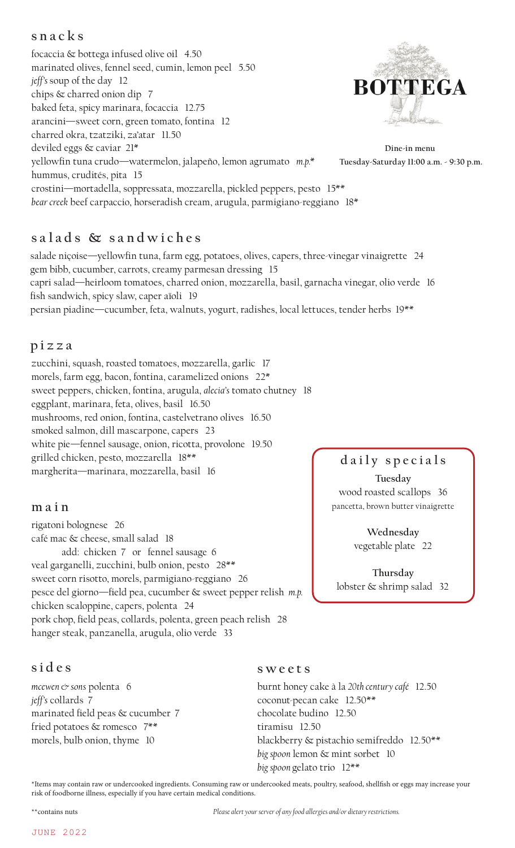# **snacks**

focaccia & bottega infused olive oil 4.50 marinated olives, fennel seed, cumin, lemon peel 5.50 *jeff's* soup of the day 12 **BOTTEGA** chips & charred onion dip 7 baked feta, spicy marinara, focaccia 12.75 arancini—sweet corn, green tomato, fontina 12 charred okra, tzatziki, za'atar 11.50 deviled eggs & caviar 21\* **Dine-in menu** yellowfin tuna crudo—watermelon, jalapeño, lemon agrumato *m.p.\** hummus, crudités, pita 15 crostini—mortadella, soppressata, mozzarella, pickled peppers, pesto 15\*\* *bear creek* beef carpaccio, horseradish cream, arugula, parmigiano-reggiano 18\*

# **s a l a d s & s a n d w i c h e s**

salade niçoise—yellowfin tuna, farm egg, potatoes, olives, capers, three-vinegar vinaigrette 24 gem bibb, cucumber, carrots, creamy parmesan dressing 15 capri salad—heirloom tomatoes, charred onion, mozzarella, basil, garnacha vinegar, olio verde 16 fish sandwich, spicy slaw, caper aïoli 19 persian piadine—cucumber, feta, walnuts, yogurt, radishes, local lettuces, tender herbs 19\*\*

## **pizza**

zucchini, squash, roasted tomatoes, mozzarella, garlic 17 morels, farm egg, bacon, fontina, caramelized onions 22\* sweet peppers, chicken, fontina, arugula, *alecia's* tomato chutney 18 eggplant, marinara, feta, olives, basil 16.50 mushrooms, red onion, fontina, castelvetrano olives 16.50 smoked salmon, dill mascarpone, capers 23 white pie—fennel sausage, onion, ricotta, provolone 19.50 grilled chicken, pesto, mozzarella 18\*\* margherita—marinara, mozzarella, basil 16

### **main**

rigatoni bolognese 26 café mac & cheese, small salad 18 add: chicken 7 or fennel sausage 6 veal garganelli, zucchini, bulb onion, pesto 28\*\* sweet corn risotto, morels, parmigiano-reggiano 26 pesce del giorno—field pea, cucumber & sweet pepper relish *m.p.* chicken scaloppine, capers, polenta 24 pork chop, field peas, collards, polenta, green peach relish 28 hanger steak, panzanella, arugula, olio verde 33

# **sides**

*mcewen & sons* polenta 6 *jeff's* collards 7 marinated field peas & cucumber 7 fried potatoes & romesco 7\*\* morels, bulb onion, thyme 10

### **sweets**

burnt honey cake à la *20th century café* 12.50 coconut-pecan cake 12.50\*\* chocolate budino 12.50 tiramisu 12.50 blackberry & pistachio semifreddo 12.50\*\* *big spoon* lemon & mint sorbet 10 *big spoon* gelato trio 12\*\*

\*Items may contain raw or undercooked ingredients. Consuming raw or undercooked meats, poultry, seafood, shellfish or eggs may increase your risk of foodborne illness, especially if you have certain medical conditions.



 **Tuesday-Saturday 11:00 a.m. - 9:30 p.m.**

**daily specials**

**Tuesday** wood roasted scallops 36 pancetta, brown butter vinaigrette

> **Wednesday** vegetable plate 22

**Thursday** lobster & shrimp salad 32